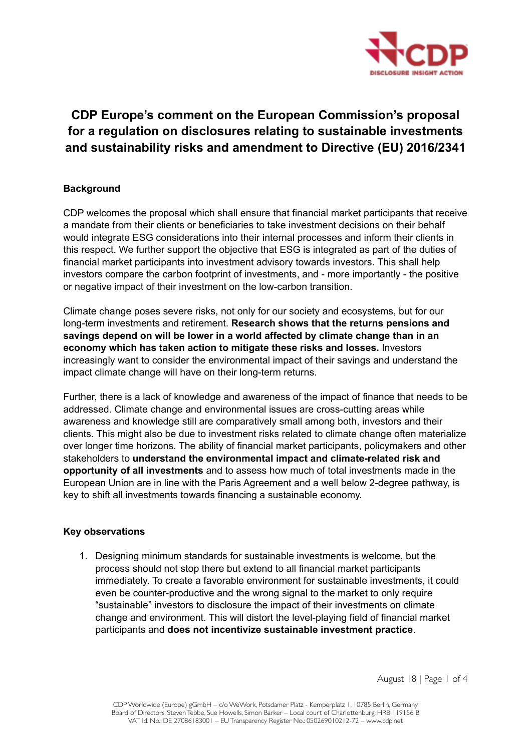

# **CDP Europe's comment on the European Commission's proposal for a regulation on disclosures relating to sustainable investments and sustainability risks and amendment to Directive (EU) 2016/2341**

## **Background**

CDP welcomes the proposal which shall ensure that financial market participants that receive a mandate from their clients or beneficiaries to take investment decisions on their behalf would integrate ESG considerations into their internal processes and inform their clients in this respect. We further support the objective that ESG is integrated as part of the duties of financial market participants into investment advisory towards investors. This shall help investors compare the carbon footprint of investments, and - more importantly - the positive or negative impact of their investment on the low-carbon transition.

Climate change poses severe risks, not only for our society and ecosystems, but for our long-term investments and retirement. **Research shows that the returns pensions and savings depend on will be lower in a world affected by climate change than in an economy which has taken action to mitigate these risks and losses.** Investors increasingly want to consider the environmental impact of their savings and understand the impact climate change will have on their long-term returns.

Further, there is a lack of knowledge and awareness of the impact of finance that needs to be addressed. Climate change and environmental issues are cross-cutting areas while awareness and knowledge still are comparatively small among both, investors and their clients. This might also be due to investment risks related to climate change often materialize over longer time horizons. The ability of financial market participants, policymakers and other stakeholders to **understand the environmental impact and climate-related risk and opportunity of all investments** and to assess how much of total investments made in the European Union are in line with the Paris Agreement and a well below 2-degree pathway, is key to shift all investments towards financing a sustainable economy.

#### **Key observations**

1. Designing minimum standards for sustainable investments is welcome, but the process should not stop there but extend to all financial market participants immediately. To create a favorable environment for sustainable investments, it could even be counter-productive and the wrong signal to the market to only require "sustainable" investors to disclosure the impact of their investments on climate change and environment. This will distort the level-playing field of financial market participants and **does not incentivize sustainable investment practice**.

August 18 | Page 1 of 4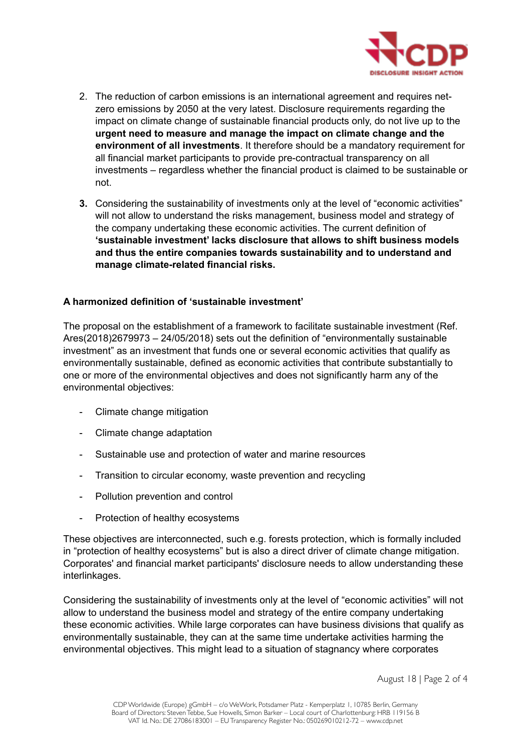

- 2. The reduction of carbon emissions is an international agreement and requires netzero emissions by 2050 at the very latest. Disclosure requirements regarding the impact on climate change of sustainable financial products only, do not live up to the **urgent need to measure and manage the impact on climate change and the environment of all investments**. It therefore should be a mandatory requirement for all financial market participants to provide pre-contractual transparency on all investments – regardless whether the financial product is claimed to be sustainable or not.
- **3.** Considering the sustainability of investments only at the level of "economic activities" will not allow to understand the risks management, business model and strategy of the company undertaking these economic activities. The current definition of **'sustainable investment' lacks disclosure that allows to shift business models and thus the entire companies towards sustainability and to understand and manage climate-related financial risks.**

## **A harmonized definition of 'sustainable investment'**

The proposal on the establishment of a framework to facilitate sustainable investment (Ref. Ares(2018)2679973 – 24/05/2018) sets out the definition of "environmentally sustainable investment" as an investment that funds one or several economic activities that qualify as environmentally sustainable, defined as economic activities that contribute substantially to one or more of the environmental objectives and does not significantly harm any of the environmental objectives:

- Climate change mitigation
- Climate change adaptation
- Sustainable use and protection of water and marine resources
- Transition to circular economy, waste prevention and recycling
- Pollution prevention and control
- Protection of healthy ecosystems

These objectives are interconnected, such e.g. forests protection, which is formally included in "protection of healthy ecosystems" but is also a direct driver of climate change mitigation. Corporates' and financial market participants' disclosure needs to allow understanding these interlinkages.

Considering the sustainability of investments only at the level of "economic activities" will not allow to understand the business model and strategy of the entire company undertaking these economic activities. While large corporates can have business divisions that qualify as environmentally sustainable, they can at the same time undertake activities harming the environmental objectives. This might lead to a situation of stagnancy where corporates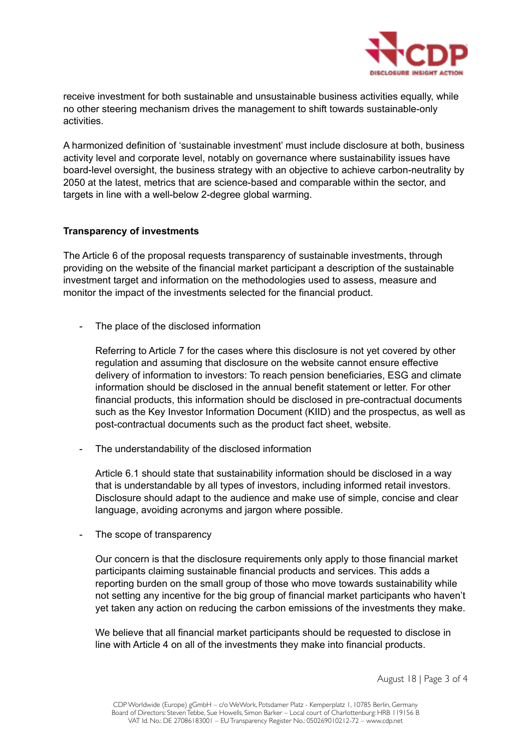

receive investment for both sustainable and unsustainable business activities equally, while no other steering mechanism drives the management to shift towards sustainable-only activities.

A harmonized definition of 'sustainable investment' must include disclosure at both, business activity level and corporate level, notably on governance where sustainability issues have board-level oversight, the business strategy with an objective to achieve carbon-neutrality by 2050 at the latest, metrics that are science-based and comparable within the sector, and targets in line with a well-below 2-degree global warming.

#### **Transparency of investments**

The Article 6 of the proposal requests transparency of sustainable investments, through providing on the website of the financial market participant a description of the sustainable investment target and information on the methodologies used to assess, measure and monitor the impact of the investments selected for the financial product.

- The place of the disclosed information

Referring to Article 7 for the cases where this disclosure is not yet covered by other regulation and assuming that disclosure on the website cannot ensure effective delivery of information to investors: To reach pension beneficiaries, ESG and climate information should be disclosed in the annual benefit statement or letter. For other financial products, this information should be disclosed in pre-contractual documents such as the Key Investor Information Document (KIID) and the prospectus, as well as post-contractual documents such as the product fact sheet, website.

The understandability of the disclosed information

Article 6.1 should state that sustainability information should be disclosed in a way that is understandable by all types of investors, including informed retail investors. Disclosure should adapt to the audience and make use of simple, concise and clear language, avoiding acronyms and jargon where possible.

- The scope of transparency

Our concern is that the disclosure requirements only apply to those financial market participants claiming sustainable financial products and services. This adds a reporting burden on the small group of those who move towards sustainability while not setting any incentive for the big group of financial market participants who haven't yet taken any action on reducing the carbon emissions of the investments they make.

We believe that all financial market participants should be requested to disclose in line with Article 4 on all of the investments they make into financial products.